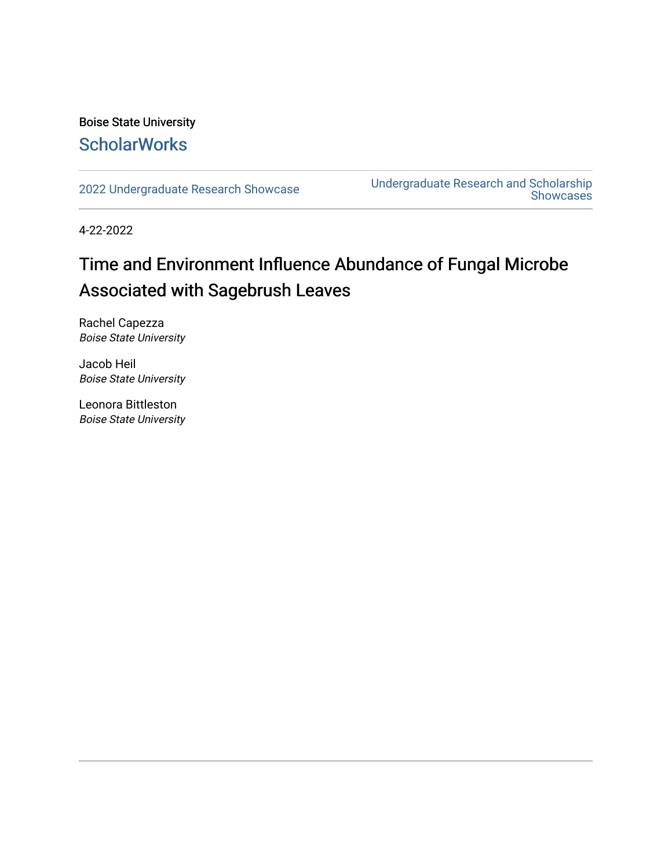### Boise State University **ScholarWorks**

[2022 Undergraduate Research Showcase](https://scholarworks.boisestate.edu/under_showcase_2022) [Undergraduate Research and Scholarship](https://scholarworks.boisestate.edu/under_conference)  Showcases

4-22-2022

### Time and Environment Influence Abundance of Fungal Microbe Associated with Sagebrush Leaves

Rachel Capezza Boise State University

Jacob Heil Boise State University

Leonora Bittleston Boise State University